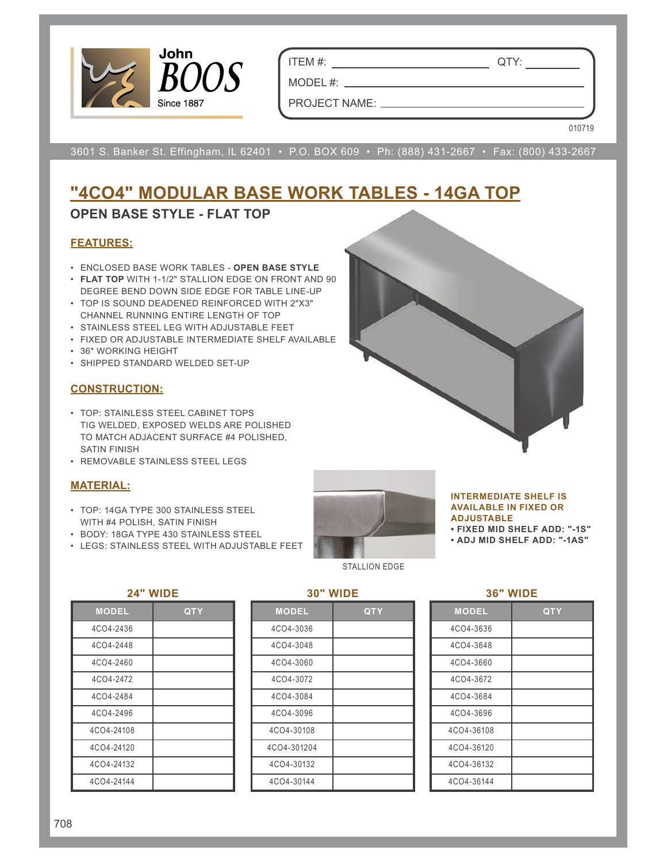

ITEM #: QTY:

PROJECT NAME:

MODEL #:

010719

3601 S. Banker St. Effingham, IL 62401 • P.O. BOX 609 • Ph: (888) 431-2667 • Fax: (800) 433-2667

# **"4CO4" MODULAR BASE WORK TABLES - 14GA TOP**

## **OPEN BASE STYLE - FLAT TOP**

### **FEATURES:**

- ENCLOSED BASE WORK TABLES **OPEN BASE STYLE**
- **FLAT TOP** WITH 1-1/2" STALLION EDGE ON FRONT AND 90 DEGREE BEND DOWN SIDE EDGE FOR TABLE LINE-UP
- TOP IS SOUND DEADENED REINFORCED WITH 2"X3" CHANNEL RUNNING ENTIRE LENGTH OF TOP
- STAINLESS STEEL LEG WITH ADJUSTABLE FEET
- FIXED OR ADJUSTABLE INTERMEDIATE SHELF AVAILABLE
- 36" WORKING HEIGHT
- SHIPPED STANDARD WELDED SET-UP

## **CONSTRUCTION:**

- TOP: STAINLESS STEEL CABINET TOPS TIG WELDED, EXPOSED WELDS ARE POLISHED TO MATCH ADJACENT SURFACE #4 POLISHED, SATIN FINISH
- REMOVABLE STAINLESS STEEL LEGS

### **MATERIAL:**

- TOP: 14GA TYPE 300 STAINLESS STEEL WITH #4 POLISH, SATIN FINISH
- BODY: 18GA TYPE 430 STAINLESS STEEL
- LEGS: STAINLESS STEEL WITH ADJUSTABLE FEET



#### STALLION EDGE

#### **INTERMEDIATE SHELF IS AVAILABLE IN FIXED OR ADJUSTABLE**

**• FIXED MID SHELF ADD: "-1S"**

**• ADJ MID SHELF ADD: "-1AS"**

#### **24" WIDE**

| .            |            |  |  |  |  |  |  |
|--------------|------------|--|--|--|--|--|--|
| <b>MODEL</b> | <b>QTY</b> |  |  |  |  |  |  |
| 4CO4-2436    |            |  |  |  |  |  |  |
| 4CO4-2448    |            |  |  |  |  |  |  |
| 4CO4-2460    |            |  |  |  |  |  |  |
| 4CO4-2472    |            |  |  |  |  |  |  |
| 4CO4-2484    |            |  |  |  |  |  |  |
| 4CO4-2496    |            |  |  |  |  |  |  |
| 4CO4-24108   |            |  |  |  |  |  |  |
| 4CO4-24120   |            |  |  |  |  |  |  |
| 4CO4-24132   |            |  |  |  |  |  |  |
| 4CO4-24144   |            |  |  |  |  |  |  |

| <b>MODEL</b> | QTY |
|--------------|-----|
| 4CO4-3036    |     |
| 4CO4-3048    |     |
| 4CO4-3060    |     |
| 4CO4-3072    |     |
| 4CO4-3084    |     |
| 4CO4-3096    |     |
| 4CO4-30108   |     |
| 4CO4-301204  |     |
| 4CO4-30132   |     |
| 4CO4-30144   |     |

**30" WIDE**

|--|

| <b>MODEL</b> | QTY |
|--------------|-----|
| 4CO4-3636    |     |
| 4CO4-3648    |     |
| 4CO4-3660    |     |
| 4CO4-3672    |     |
| 4CO4-3684    |     |
| 4CO4-3696    |     |
| 4CO4-36108   |     |
| 4CO4-36120   |     |
| 4CO4-36132   |     |
| 4CO4-36144   |     |